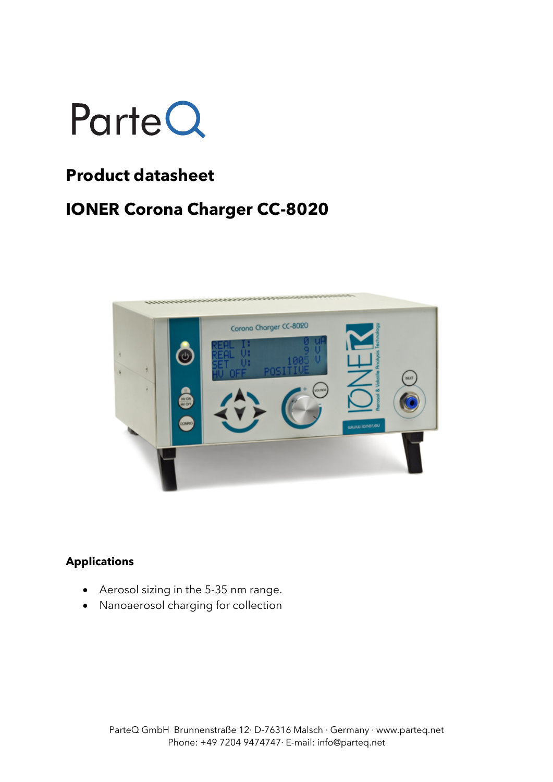

## **Product datasheet**

## **IONER Corona Charger CC-8020**



#### **Applications**

- Aerosol sizing in the 5-35 nm range.
- Nanoaerosol charging for collection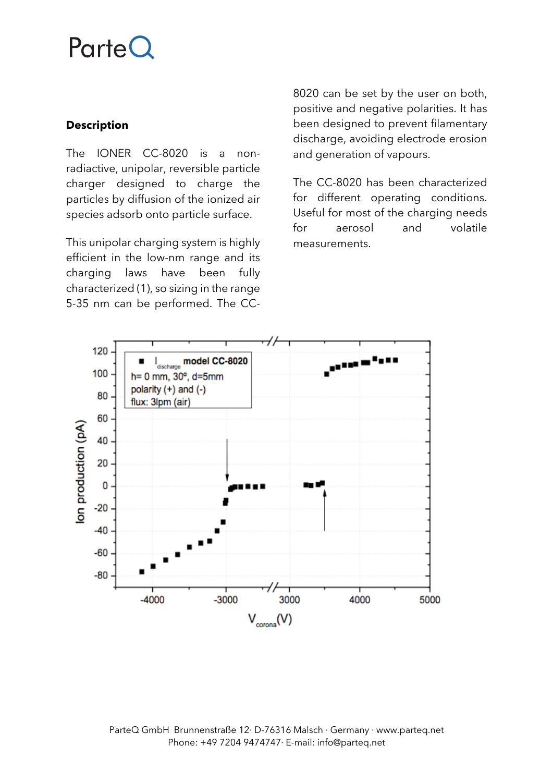## **ParteQ**

### **Description**

The IONER CC-8020 is a nonradiactive, unipolar, reversible particle charger designed to charge the particles by diffusion of the ionized air species adsorb onto particle surface.

This unipolar charging system is highly efficient in the low-nm range and its charging laws have been fully characterized (1), so sizing in the range 5-35 nm can be performed. The CC-

8020 can be set by the user on both, positive and negative polarities. It has been designed to prevent filamentary discharge, avoiding electrode erosion and generation of vapours.

The CC-8020 has been characterized for different operating conditions. Useful for most of the charging needs for aerosol and volatile measurements.